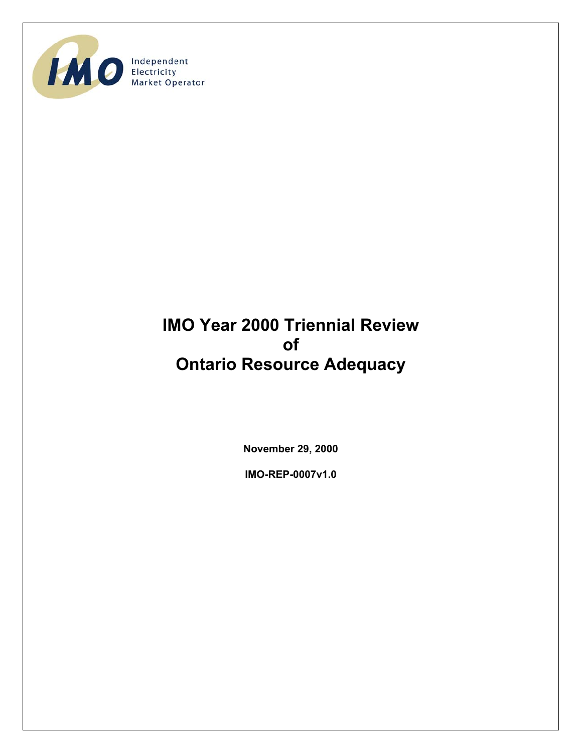

# **IMO Year 2000 Triennial Review of Ontario Resource Adequacy**

**November 29, 2000** 

**IMO-REP-0007v1.0**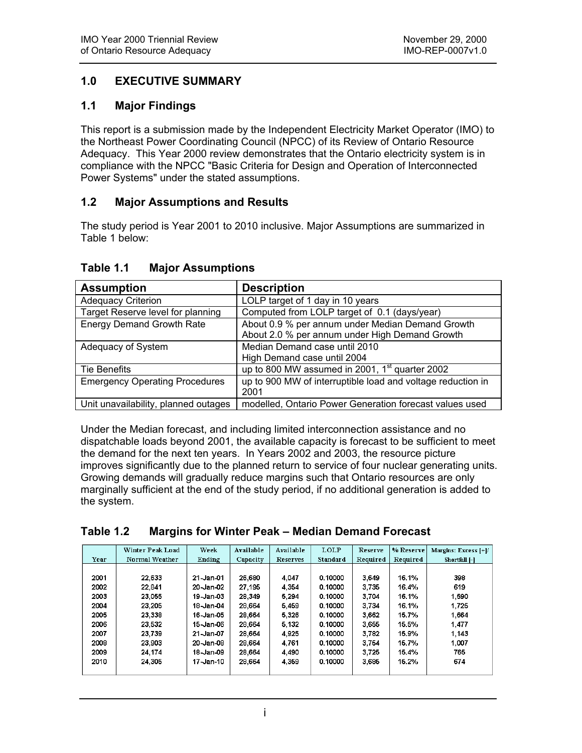## <span id="page-1-0"></span>**1.0 EXECUTIVE SUMMARY**

#### **1.1 Major Findings**

This report is a submission made by the Independent Electricity Market Operator (IMO) to the Northeast Power Coordinating Council (NPCC) of its Review of Ontario Resource Adequacy. This Year 2000 review demonstrates that the Ontario electricity system is in compliance with the NPCC "Basic Criteria for Design and Operation of Interconnected Power Systems" under the stated assumptions.

#### **1.2 Major Assumptions and Results**

The study period is Year 2001 to 2010 inclusive. Major Assumptions are summarized in Table 1 below:

| <b>Assumption</b>                     | <b>Description</b>                                          |
|---------------------------------------|-------------------------------------------------------------|
| <b>Adequacy Criterion</b>             | LOLP target of 1 day in 10 years                            |
| Target Reserve level for planning     | Computed from LOLP target of 0.1 (days/year)                |
| <b>Energy Demand Growth Rate</b>      | About 0.9 % per annum under Median Demand Growth            |
|                                       | About 2.0 % per annum under High Demand Growth              |
| Adequacy of System                    | Median Demand case until 2010                               |
|                                       | High Demand case until 2004                                 |
| Tie Benefits                          | up to 800 MW assumed in 2001, 1 <sup>st</sup> quarter 2002  |
| <b>Emergency Operating Procedures</b> | up to 900 MW of interruptible load and voltage reduction in |
|                                       | 2001                                                        |
| Unit unavailability, planned outages  | modelled, Ontario Power Generation forecast values used     |

#### **Table 1.1 Major Assumptions**

Under the Median forecast, and including limited interconnection assistance and no dispatchable loads beyond 2001, the available capacity is forecast to be sufficient to meet the demand for the next ten years. In Years 2002 and 2003, the resource picture improves significantly due to the planned return to service of four nuclear generating units. Growing demands will gradually reduce margins such that Ontario resources are only marginally sufficient at the end of the study period, if no additional generation is added to the system.

| Table 1.2 | Margins for Winter Peak – Median Demand Forecast |
|-----------|--------------------------------------------------|
|           |                                                  |

|      | Winter Peak Load | Week      | Available | Available | <b>LOLP</b> | Reserve  | % Reserve | Margins: Excess $[+]$ |
|------|------------------|-----------|-----------|-----------|-------------|----------|-----------|-----------------------|
| Year | Normal Weather   | Ending    | Capacity  | Reserves  | Standard    | Required | Required  | Shortfall [-]         |
|      |                  |           |           |           |             |          |           |                       |
| 2001 | 22,633           | 21-Jan-01 | 26,680    | 4,047     | 0.10000     | 3.649    | 16.1%     | 398                   |
| 2002 | 22,841           | 20-Jan-02 | 27,195    | 4.354     | 0.10000     | 3,735    | 16.4%     | 619                   |
| 2003 | 23,055           | 19-Jan-03 | 28,349    | 5,294     | 0.10000     | 3,704    | 16.1%     | 1,590                 |
| 2004 | 23.205           | 18-Jan-04 | 28,664    | 5.459     | 0.10000     | 3.734    | 16.1%     | 1,725                 |
| 2005 | 23,338           | 16-Jan-05 | 28,664    | 5,326     | 0.10000     | 3,662    | 15.7%     | 1,664                 |
| 2006 | 23,532           | 15-Jan-06 | 28,664    | 5,132     | 0.10000     | 3,655    | 15.5%     | 1,477                 |
| 2007 | 23,739           | 21-Jan-07 | 28,664    | 4,925     | 0.10000     | 3,782    | 15.9%     | 1,143                 |
| 2008 | 23.903           | 20-Jan-08 | 28,664    | 4.761     | 0.10000     | 3,754    | 15.7%     | 1.007                 |
| 2009 | 24.174           | 18-Jan-09 | 28.664    | 4,490     | 0.10000     | 3.725    | 15.4%     | 765                   |
| 2010 | 24,305           | 17-Jan-10 | 28,664    | 4,359     | 0.10000     | 3,685    | 15.2%     | 674                   |
|      |                  |           |           |           |             |          |           |                       |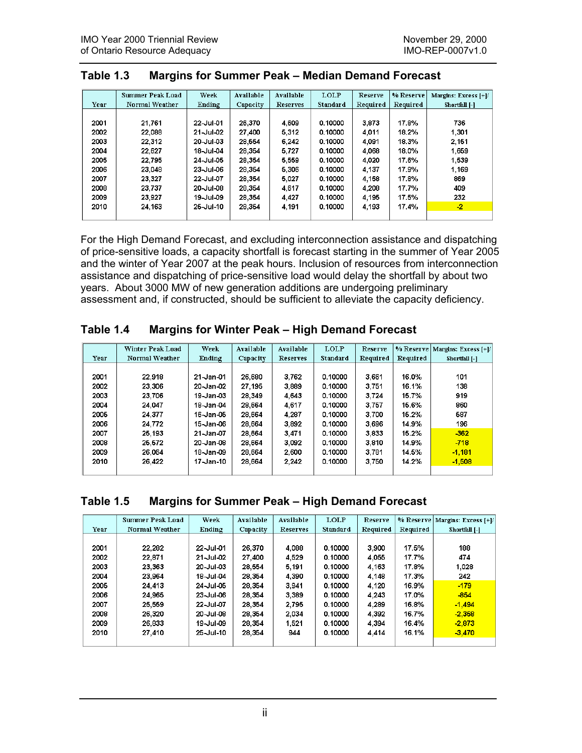|      | <b>Summer Peak Load</b> | Week      | Available | Available | <b>LOLP</b> | Reserve  | % Reserve | Margins: Excess $[+]$ |
|------|-------------------------|-----------|-----------|-----------|-------------|----------|-----------|-----------------------|
| Year | Normal Weather          | Ending    | Capacity  | Reserves  | Standard    | Required | Required  | Shortfall [-]         |
|      |                         |           |           |           |             |          |           |                       |
| 2001 | 21.761                  | 22-Jul-01 | 26.370    | 4.609     | 0.10000     | 3.873    | 17.8%     | 736                   |
| 2002 | 22,088                  | 21-Jul-02 | 27,400    | 5,312     | 0.10000     | 4,011    | 18.2%     | 1,301                 |
| 2003 | 22,312                  | 20-Jul-03 | 28,554    | 6.242     | 0.10000     | 4,091    | 18.3%     | 2.151                 |
| 2004 | 22,627                  | 18-Jul-04 | 28,354    | 5,727     | 0.10000     | 4,068    | 18.0%     | 1,659                 |
| 2005 | 22,795                  | 24-Jul-05 | 28,354    | 5.559     | 0.10000     | 4,020    | 17.6%     | 1,539                 |
| 2006 | 23,048                  | 23-Jul-06 | 28,354    | 5,306     | 0.10000     | 4.137    | 17.9%     | 1.169                 |
| 2007 | 23.327                  | 22-Jul-07 | 28,354    | 5,027     | 0.10000     | 4,158    | 17.8%     | 869                   |
| 2008 | 23.737                  | 20-Jul-08 | 28,354    | 4.617     | 0.10000     | 4.208    | 17.7%     | 409                   |
| 2009 | 23.927                  | 19-Jul-09 | 28.354    | 4,427     | 0.10000     | 4,195    | 17.5%     | 232                   |
| 2010 | 24.163                  | 25-Jul-10 | 28.354    | 4,191     | 0.10000     | 4.193    | 17.4%     | $-2$                  |
|      |                         |           |           |           |             |          |           |                       |

#### <span id="page-2-0"></span>**Table 1.3 Margins for Summer Peak – Median Demand Forecast**

For the High Demand Forecast, and excluding interconnection assistance and dispatching of price-sensitive loads, a capacity shortfall is forecast starting in the summer of Year 2005 and the winter of Year 2007 at the peak hours. Inclusion of resources from interconnection assistance and dispatching of price-sensitive load would delay the shortfall by about two years. About 3000 MW of new generation additions are undergoing preliminary assessment and, if constructed, should be sufficient to alleviate the capacity deficiency.

#### **Table 1.4 Margins for Winter Peak – High Demand Forecast**

|      | Winter Peak Load | Week         | Available | Available       | <b>LOLP</b> | Reserve  | % Reserve | Margins: Excess $[+]$ |
|------|------------------|--------------|-----------|-----------------|-------------|----------|-----------|-----------------------|
| Year | Normal Weather   | Ending       | Capacity  | <b>Reserves</b> | Standard    | Required | Required  | Shortfall [-]         |
|      |                  |              |           |                 |             |          |           |                       |
| 2001 | 22.918           | $21$ -Jan-01 | 26,680    | 3.762           | 0.10000     | 3.661    | 16.0%     | 101                   |
| 2002 | 23,306           | 20-Jan-02    | 27,195    | 3,889           | 0.10000     | 3.751    | 16.1%     | 138                   |
| 2003 | 23.706           | 19-Jan-03    | 28.349    | 4,643           | 0.10000     | 3.724    | 15.7%     | 919                   |
| 2004 | 24,047           | 18-Jan-04    | 28,664    | 4,617           | 0.10000     | 3,757    | 15.6%     | 860                   |
| 2005 | 24,377           | 16-Jan-05    | 28,664    | 4.287           | 0.10000     | 3.700    | 15.2%     | 587                   |
| 2006 | 24,772           | 15-Jan-06    | 28.664    | 3.892           | 0.10000     | 3.696    | 14.9%     | 196                   |
| 2007 | 25,193           | 21-Jan-07    | 28,664    | 3.471           | 0.10000     | 3,833    | 15.2%     | $-362$                |
| 2008 | 25.572           | 20-Jan-08    | 28,664    | 3.092           | 0.10000     | 3.810    | 14.9%     | $-718$                |
| 2009 | 26,064           | 18-Jan-09    | 28,664    | 2,600           | 0.10000     | 3,781    | 14.5%     | $-1,181$              |
| 2010 | 26,422           | 17-Jan-10    | 28,664    | 2,242           | 0.10000     | 3.750    | 14.2%     | $-1,508$              |
|      |                  |              |           |                 |             |          |           |                       |

#### **Table 1.5 Margins for Summer Peak – High Demand Forecast**

|      | Summer Peak Load | Week      | Available | Available       | <b>LOLP</b> | Reserve  |          | % Reserve   Margins: Excess $[+]$ |
|------|------------------|-----------|-----------|-----------------|-------------|----------|----------|-----------------------------------|
| Year | Normal Weather   | Ending    | Capacity  | <b>Reserves</b> | Standard    | Required | Required | Shortfall [-]                     |
|      |                  |           |           |                 |             |          |          |                                   |
| 2001 | 22.282           | 22-Jul-01 | 26.370    | 4,088           | 0.10000     | 3.900    | 17.5%    | 188                               |
| 2002 | 22,871           | 21-Jul-02 | 27,400    | 4,529           | 0.10000     | 4.055    | 17.7%    | 474                               |
| 2003 | 23,363           | 20-Jul-03 | 28,554    | 5.191           | 0.10000     | 4.163    | 17.8%    | 1,028                             |
| 2004 | 23.964           | 18-Jul-04 | 28.354    | 4.390           | 0.10000     | 4.148    | 17.3%    | 242                               |
| 2005 | 24.413           | 24-Jul-05 | 28.354    | 3.941           | 0.10000     | 4,120    | 16.9%    | $-179$                            |
| 2006 | 24,965           | 23-Jul-06 | 28,354    | 3.389           | 0.10000     | 4.243    | 17.0%    | $-854$                            |
| 2007 | 25.559           | 22-Jul-07 | 28,354    | 2.795           | 0.10000     | 4.289    | 16.8%    | $-1,494$                          |
| 2008 | 26,320           | 20-Jul-08 | 28,354    | 2,034           | 0.10000     | 4,392    | 16.7%    | $-2,358$                          |
| 2009 | 26,833           | 19-Jul-09 | 28,354    | 1,521           | 0.10000     | 4.394    | 16.4%    | $-2,873$                          |
| 2010 | 27.410           | 25-Jul-10 | 28,354    | 944             | 0.10000     | 4.414    | 16.1%    | $-3,470$                          |
|      |                  |           |           |                 |             |          |          |                                   |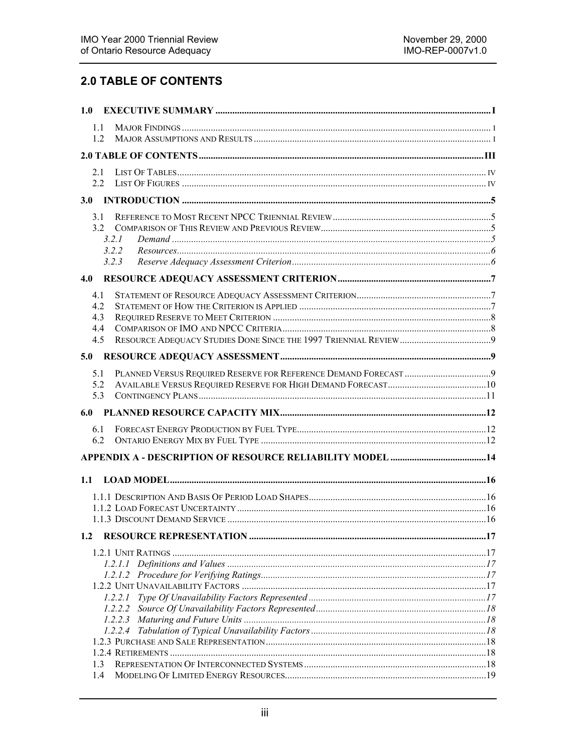# <span id="page-3-0"></span>**2.0 TABLE OF CONTENTS**

|     | 1.1        |  |
|-----|------------|--|
|     | 1.2        |  |
|     |            |  |
|     | 2.1        |  |
|     | 2.2        |  |
|     |            |  |
|     |            |  |
|     | 3.1<br>3.2 |  |
|     | 3.2.1      |  |
|     | 3.2.2      |  |
|     | 3.2.3      |  |
| 4.0 |            |  |
|     | 4.1        |  |
|     | 42         |  |
|     | 4.3        |  |
|     | 4.4        |  |
|     | 4.5        |  |
| 5.0 |            |  |
|     | 5.1        |  |
|     | 5.2        |  |
|     | 5.3        |  |
| 6.0 |            |  |
|     | 6.1        |  |
|     | 6.2        |  |
|     |            |  |
|     |            |  |
| 1.1 |            |  |
|     |            |  |
|     |            |  |
|     |            |  |
| 1.2 |            |  |
|     |            |  |
|     |            |  |
|     |            |  |
|     |            |  |
|     |            |  |
|     |            |  |
|     |            |  |
|     |            |  |
|     |            |  |
|     | 1.3        |  |
|     | 1.4        |  |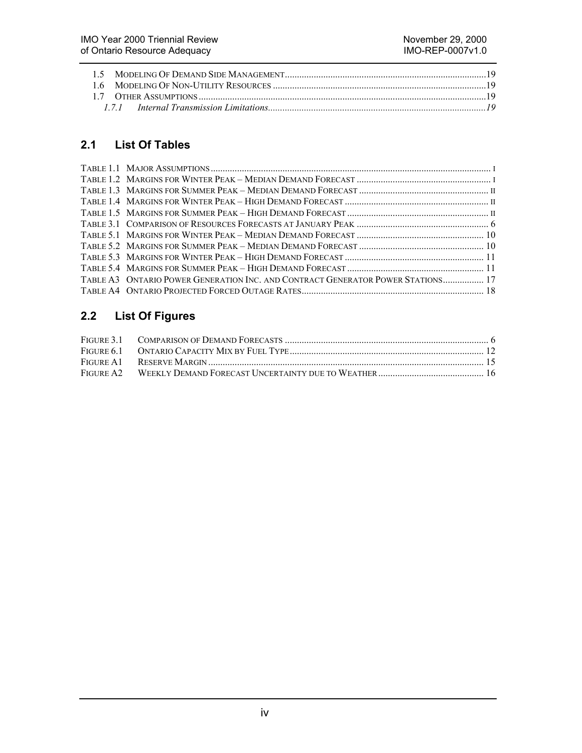<span id="page-4-0"></span>

# **2.1 List Of Tables**

| TABLE A3 ONTARIO POWER GENERATION INC. AND CONTRACT GENERATOR POWER STATIONS 17 |  |
|---------------------------------------------------------------------------------|--|
|                                                                                 |  |

# **2.2 List Of Figures**

| FIGURE A2 WEEKLY DEMAND FORECAST UNCERTAINTY DUE TO WEATHER |  |
|-------------------------------------------------------------|--|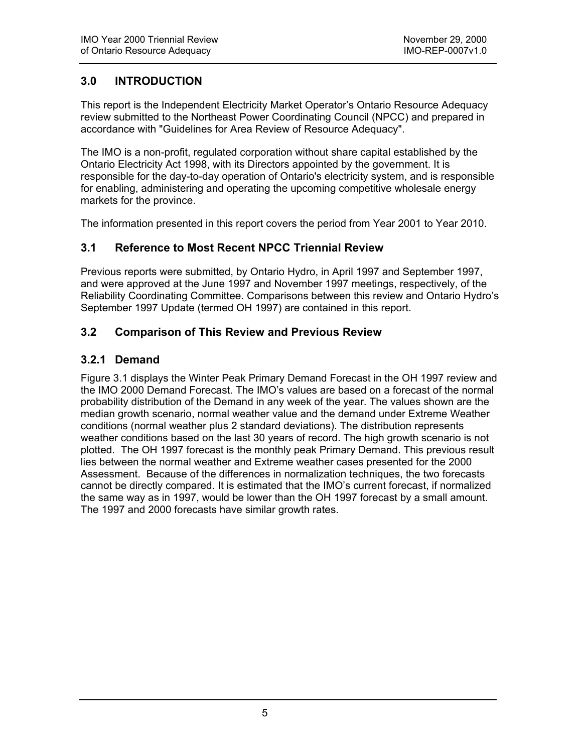#### <span id="page-5-0"></span>**3.0 INTRODUCTION**

This report is the Independent Electricity Market Operator's Ontario Resource Adequacy review submitted to the Northeast Power Coordinating Council (NPCC) and prepared in accordance with "Guidelines for Area Review of Resource Adequacy".

The IMO is a non-profit, regulated corporation without share capital established by the Ontario Electricity Act 1998, with its Directors appointed by the government. It is responsible for the day-to-day operation of Ontario's electricity system, and is responsible for enabling, administering and operating the upcoming competitive wholesale energy markets for the province.

The information presented in this report covers the period from Year 2001 to Year 2010.

#### **3.1 Reference to Most Recent NPCC Triennial Review**

Previous reports were submitted, by Ontario Hydro, in April 1997 and September 1997, and were approved at the June 1997 and November 1997 meetings, respectively, of the Reliability Coordinating Committee. Comparisons between this review and Ontario Hydro's September 1997 Update (termed OH 1997) are contained in this report.

#### **3.2 Comparison of This Review and Previous Review**

#### **3.2.1 Demand**

Figure 3.1 displays the Winter Peak Primary Demand Forecast in the OH 1997 review and the IMO 2000 Demand Forecast. The IMO's values are based on a forecast of the normal probability distribution of the Demand in any week of the year. The values shown are the median growth scenario, normal weather value and the demand under Extreme Weather conditions (normal weather plus 2 standard deviations). The distribution represents weather conditions based on the last 30 years of record. The high growth scenario is not plotted. The OH 1997 forecast is the monthly peak Primary Demand. This previous result lies between the normal weather and Extreme weather cases presented for the 2000 Assessment. Because of the differences in normalization techniques, the two forecasts cannot be directly compared. It is estimated that the IMO's current forecast, if normalized the same way as in 1997, would be lower than the OH 1997 forecast by a small amount. The 1997 and 2000 forecasts have similar growth rates.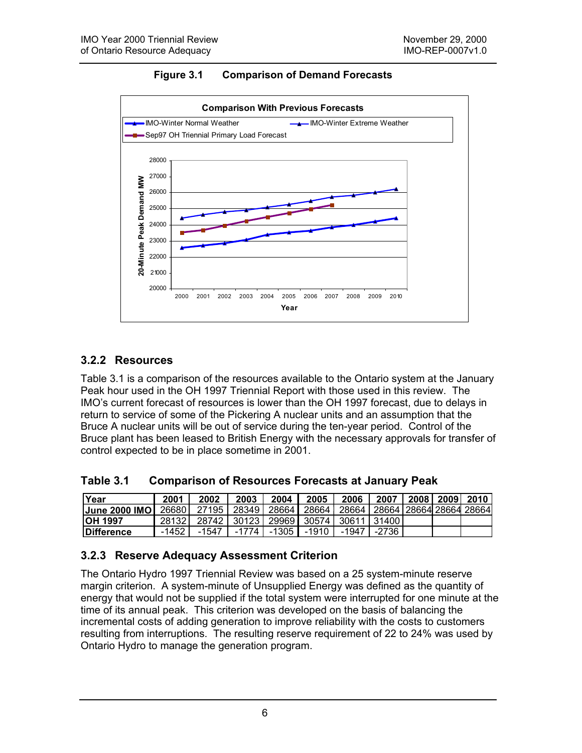<span id="page-6-0"></span>

**Figure 3.1 Comparison of Demand Forecasts** 

# **3.2.2 Resources**

Table 3.1 is a comparison of the resources available to the Ontario system at the January Peak hour used in the OH 1997 Triennial Report with those used in this review. The IMO's current forecast of resources is lower than the OH 1997 forecast, due to delays in return to service of some of the Pickering A nuclear units and an assumption that the Bruce A nuclear units will be out of service during the ten-year period. Control of the Bruce plant has been leased to British Energy with the necessary approvals for transfer of control expected to be in place sometime in 2001.

| Table 3.1 | <b>Comparison of Resources Forecasts at January Peak</b> |
|-----------|----------------------------------------------------------|
|-----------|----------------------------------------------------------|

| Year                                                                                    | 2001    | 2002                                          | 2003 | 2004 | 2005                    | 2006    |         |  | 2007   2008   2009   2010 |
|-----------------------------------------------------------------------------------------|---------|-----------------------------------------------|------|------|-------------------------|---------|---------|--|---------------------------|
| <u> June 2000 IMO┃ 26680┃ 27195┃ 28349┃ 28664┃ 28664┃ 28664┃28664┃28664┃28664┃28664</u> |         |                                               |      |      |                         |         |         |  |                           |
| <b>IOH 1997</b>                                                                         | 28132 L | 28742   30123   29969   30574   30611   31400 |      |      |                         |         |         |  |                           |
| <b>IDifference</b>                                                                      | -1452 l | -1547                                         |      |      | -1774 I -1305 I -1910 I | -1947 I | -2736 I |  |                           |

#### **3.2.3 Reserve Adequacy Assessment Criterion**

The Ontario Hydro 1997 Triennial Review was based on a 25 system-minute reserve margin criterion. A system-minute of Unsupplied Energy was defined as the quantity of energy that would not be supplied if the total system were interrupted for one minute at the time of its annual peak. This criterion was developed on the basis of balancing the incremental costs of adding generation to improve reliability with the costs to customers resulting from interruptions. The resulting reserve requirement of 22 to 24% was used by Ontario Hydro to manage the generation program.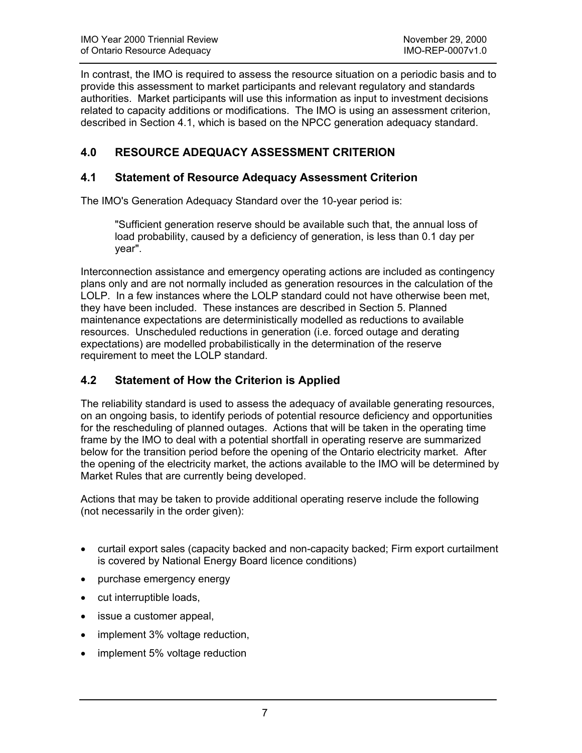<span id="page-7-0"></span>In contrast, the IMO is required to assess the resource situation on a periodic basis and to provide this assessment to market participants and relevant regulatory and standards authorities. Market participants will use this information as input to investment decisions related to capacity additions or modifications. The IMO is using an assessment criterion, described in Section 4.1, which is based on the NPCC generation adequacy standard.

# **4.0 RESOURCE ADEQUACY ASSESSMENT CRITERION**

#### **4.1 Statement of Resource Adequacy Assessment Criterion**

The IMO's Generation Adequacy Standard over the 10-year period is:

"Sufficient generation reserve should be available such that, the annual loss of load probability, caused by a deficiency of generation, is less than 0.1 day per year".

Interconnection assistance and emergency operating actions are included as contingency plans only and are not normally included as generation resources in the calculation of the LOLP. In a few instances where the LOLP standard could not have otherwise been met, they have been included. These instances are described in Section 5. Planned maintenance expectations are deterministically modelled as reductions to available resources. Unscheduled reductions in generation (i.e. forced outage and derating expectations) are modelled probabilistically in the determination of the reserve requirement to meet the LOLP standard.

#### **4.2 Statement of How the Criterion is Applied**

The reliability standard is used to assess the adequacy of available generating resources, on an ongoing basis, to identify periods of potential resource deficiency and opportunities for the rescheduling of planned outages. Actions that will be taken in the operating time frame by the IMO to deal with a potential shortfall in operating reserve are summarized below for the transition period before the opening of the Ontario electricity market. After the opening of the electricity market, the actions available to the IMO will be determined by Market Rules that are currently being developed.

Actions that may be taken to provide additional operating reserve include the following (not necessarily in the order given):

- curtail export sales (capacity backed and non-capacity backed; Firm export curtailment is covered by National Energy Board licence conditions)
- purchase emergency energy
- cut interruptible loads,
- issue a customer appeal,
- implement 3% voltage reduction,
- implement 5% voltage reduction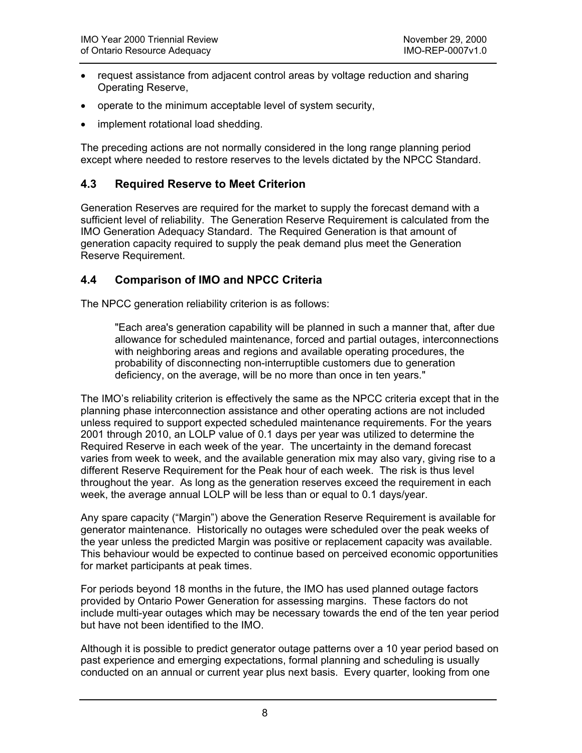- <span id="page-8-0"></span>• request assistance from adjacent control areas by voltage reduction and sharing Operating Reserve,
- operate to the minimum acceptable level of system security,
- implement rotational load shedding.

The preceding actions are not normally considered in the long range planning period except where needed to restore reserves to the levels dictated by the NPCC Standard.

#### **4.3 Required Reserve to Meet Criterion**

Generation Reserves are required for the market to supply the forecast demand with a sufficient level of reliability. The Generation Reserve Requirement is calculated from the IMO Generation Adequacy Standard. The Required Generation is that amount of generation capacity required to supply the peak demand plus meet the Generation Reserve Requirement.

#### **4.4 Comparison of IMO and NPCC Criteria**

The NPCC generation reliability criterion is as follows:

"Each area's generation capability will be planned in such a manner that, after due allowance for scheduled maintenance, forced and partial outages, interconnections with neighboring areas and regions and available operating procedures, the probability of disconnecting non-interruptible customers due to generation deficiency, on the average, will be no more than once in ten years."

The IMO's reliability criterion is effectively the same as the NPCC criteria except that in the planning phase interconnection assistance and other operating actions are not included unless required to support expected scheduled maintenance requirements. For the years 2001 through 2010, an LOLP value of 0.1 days per year was utilized to determine the Required Reserve in each week of the year. The uncertainty in the demand forecast varies from week to week, and the available generation mix may also vary, giving rise to a different Reserve Requirement for the Peak hour of each week. The risk is thus level throughout the year. As long as the generation reserves exceed the requirement in each week, the average annual LOLP will be less than or equal to 0.1 days/year.

Any spare capacity ("Margin") above the Generation Reserve Requirement is available for generator maintenance. Historically no outages were scheduled over the peak weeks of the year unless the predicted Margin was positive or replacement capacity was available. This behaviour would be expected to continue based on perceived economic opportunities for market participants at peak times.

For periods beyond 18 months in the future, the IMO has used planned outage factors provided by Ontario Power Generation for assessing margins. These factors do not include multi-year outages which may be necessary towards the end of the ten year period but have not been identified to the IMO.

Although it is possible to predict generator outage patterns over a 10 year period based on past experience and emerging expectations, formal planning and scheduling is usually conducted on an annual or current year plus next basis. Every quarter, looking from one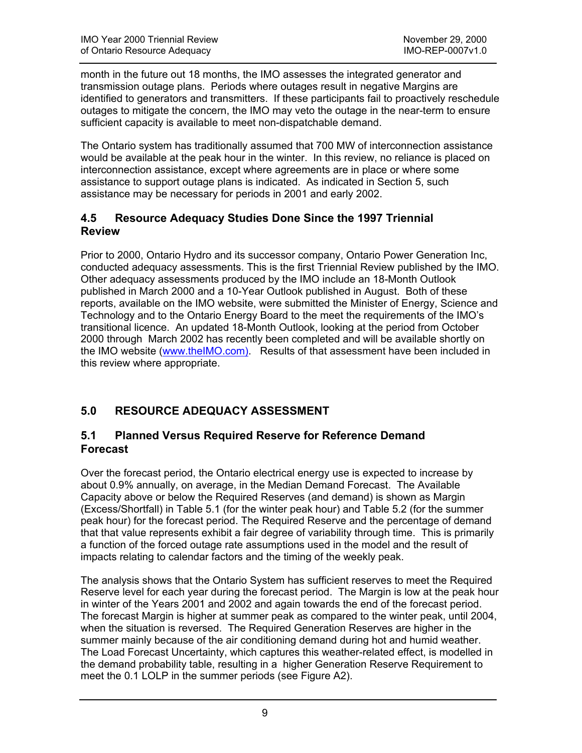<span id="page-9-0"></span>month in the future out 18 months, the IMO assesses the integrated generator and transmission outage plans. Periods where outages result in negative Margins are identified to generators and transmitters. If these participants fail to proactively reschedule outages to mitigate the concern, the IMO may veto the outage in the near-term to ensure sufficient capacity is available to meet non-dispatchable demand.

The Ontario system has traditionally assumed that 700 MW of interconnection assistance would be available at the peak hour in the winter. In this review, no reliance is placed on interconnection assistance, except where agreements are in place or where some assistance to support outage plans is indicated. As indicated in Section 5, such assistance may be necessary for periods in 2001 and early 2002.

#### **4.5 Resource Adequacy Studies Done Since the 1997 Triennial Review**

Prior to 2000, Ontario Hydro and its successor company, Ontario Power Generation Inc, conducted adequacy assessments. This is the first Triennial Review published by the IMO. Other adequacy assessments produced by the IMO include an 18-Month Outlook published in March 2000 and a 10-Year Outlook published in August. Both of these reports, available on the IMO website, were submitted the Minister of Energy, Science and Technology and to the Ontario Energy Board to the meet the requirements of the IMO's transitional licence. An updated 18-Month Outlook, looking at the period from October 2000 through March 2002 has recently been completed and will be available shortly on the IMO website [\(www.theIMO.com\)](http://www.theimo.com)/). Results of that assessment have been included in this review where appropriate.

# **5.0 RESOURCE ADEQUACY ASSESSMENT**

#### **5.1 Planned Versus Required Reserve for Reference Demand Forecast**

Over the forecast period, the Ontario electrical energy use is expected to increase by about 0.9% annually, on average, in the Median Demand Forecast. The Available Capacity above or below the Required Reserves (and demand) is shown as Margin (Excess/Shortfall) in Table 5.1 (for the winter peak hour) and Table 5.2 (for the summer peak hour) for the forecast period. The Required Reserve and the percentage of demand that that value represents exhibit a fair degree of variability through time. This is primarily a function of the forced outage rate assumptions used in the model and the result of impacts relating to calendar factors and the timing of the weekly peak.

The analysis shows that the Ontario System has sufficient reserves to meet the Required Reserve level for each year during the forecast period. The Margin is low at the peak hour in winter of the Years 2001 and 2002 and again towards the end of the forecast period. The forecast Margin is higher at summer peak as compared to the winter peak, until 2004, when the situation is reversed. The Required Generation Reserves are higher in the summer mainly because of the air conditioning demand during hot and humid weather. The Load Forecast Uncertainty, which captures this weather-related effect, is modelled in the demand probability table, resulting in a higher Generation Reserve Requirement to meet the 0.1 LOLP in the summer periods (see Figure A2).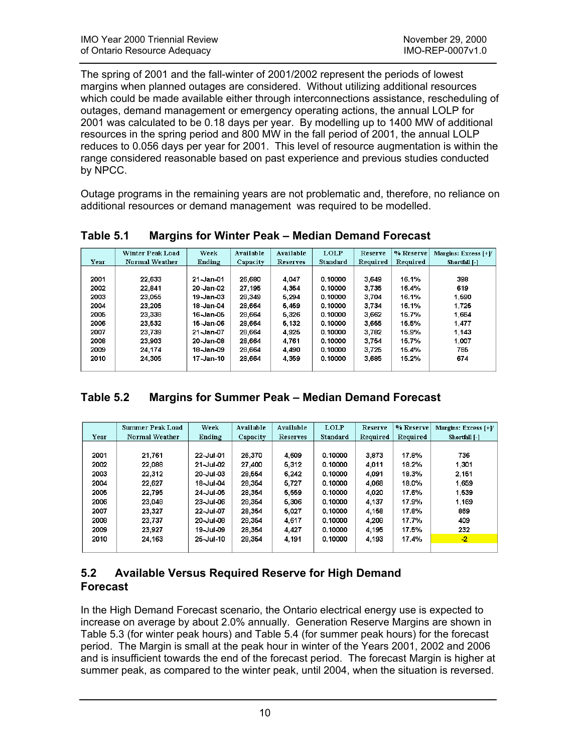<span id="page-10-0"></span>The spring of 2001 and the fall-winter of 2001/2002 represent the periods of lowest margins when planned outages are considered. Without utilizing additional resources which could be made available either through interconnections assistance, rescheduling of outages, demand management or emergency operating actions, the annual LOLP for 2001 was calculated to be 0.18 days per year. By modelling up to 1400 MW of additional resources in the spring period and 800 MW in the fall period of 2001, the annual LOLP reduces to 0.056 days per year for 2001. This level of resource augmentation is within the range considered reasonable based on past experience and previous studies conducted by NPCC.

Outage programs in the remaining years are not problematic and, therefore, no reliance on additional resources or demand management was required to be modelled.

|      | Winter Peak Load | <b>Week</b> | Available | Available | LOLP     | Reserve  | % Reserve | Margins: Excess [+]/ |
|------|------------------|-------------|-----------|-----------|----------|----------|-----------|----------------------|
| Year | Normal Weather   | Ending      | Capacity  | Reserves  | Standard | Required | Required  | Shortfall [-]        |
|      |                  |             |           |           |          |          |           |                      |
| 2001 | 22.633           | 21-Jan-01   | 26.680    | 4.047     | 0.10000  | 3.649    | 16.1%     | 398                  |
| 2002 | 22.841           | 20-Jan-02   | 27.195    | 4.354     | 0.10000  | 3.735    | 16.4%     | 619                  |
| 2003 | 23,055           | 19-Jan-03   | 28,349    | 5.294     | 0.10000  | 3,704    | 16.1%     | 1,590                |
| 2004 | 23.205           | 18-Jan-04   | 28.664    | 5.459     | 0.10000  | 3.734    | 16.1%     | 1.725                |
| 2005 | 23,338           | 16-Jan-05   | 28,664    | 5.326     | 0.10000  | 3.662    | 15.7%     | 1.664                |
| 2006 | 23.532           | 15-Jan-06   | 28.664    | 5.132     | 0.10000  | 3.655    | 15.5%     | 1,477                |
| 2007 | 23.739           | 21-Jan-07   | 28.664    | 4.925     | 0.10000  | 3.782    | 15.9%     | 1,143                |
| 2008 | 23,903           | 20-Jan-08   | 28,664    | 4.761     | 0.10000  | 3.754    | 15.7%     | 1,007                |
| 2009 | 24.174           | 18-Jan-09   | 28.664    | 4.490     | 0.10000  | 3.725    | 15.4%     | 765                  |
| 2010 | 24.305           | 17-Jan-10   | 28.664    | 4.359     | 0.10000  | 3.685    | 15.2%     | 674                  |
|      |                  |             |           |           |          |          |           |                      |

**Table 5.1 Margins for Winter Peak – Median Demand Forecast** 

# **Table 5.2 Margins for Summer Peak – Median Demand Forecast**

|      | <b>Summer Peak Load</b> | <b>Week</b> | Available | Available       | <b>LOLP</b> | Reserve  | % Reserve | Margins: Excess $[+]$ |
|------|-------------------------|-------------|-----------|-----------------|-------------|----------|-----------|-----------------------|
| Year | Normal Weather          | Ending      | Capacity  | <b>Reserves</b> | Standard    | Required | Required  | Shortfall [-]         |
|      |                         |             |           |                 |             |          |           |                       |
| 2001 | 21.761                  | 22-Jul-01   | 26,370    | 4,609           | 0.10000     | 3,873    | 17.8%     | 736                   |
| 2002 | 22,088                  | 21-Jul-02   | 27,400    | 5.312           | 0.10000     | 4.011    | 18.2%     | 1,301                 |
| 2003 | 22,312                  | 20 Jul 03   | 28,554    | 6.242           | 0.10000     | 4,091    | 18.3%     | 2,151                 |
| 2004 | 22.627                  | 18-Jul-04   | 28.354    | 5.727           | 0.10000     | 4.068    | 18.0%     | 1.659                 |
| 2005 | 22.795                  | 24-Jul-05   | 28.354    | 5,559           | 0.10000     | 4,020    | 17.6%     | 1,539                 |
| 2006 | 23,048                  | 23-Jul-06   | 28,354    | 5,306           | 0.10000     | 4,137    | 17.9%     | 1,169                 |
| 2007 | 23,327                  | 22-Jul-07   | 28,354    | 5.027           | 0.10000     | 4.158    | 17.8%     | 869                   |
| 2008 | 23.737                  | 20-Jul-08   | 28,354    | 4.617           | 0.10000     | 4.208    | 17.7%     | 409                   |
| 2009 | 23,927                  | 19-Jul-09   | 28,354    | 4.427           | 0.10000     | 4.195    | 17.5%     | 232                   |
| 2010 | 24,163                  | 25 Jul-10   | 28.354    | 4,191           | 0.10000     | 4,193    | 17.4%     | $-2$                  |
|      |                         |             |           |                 |             |          |           |                       |

# **5.2 Available Versus Required Reserve for High Demand Forecast**

In the High Demand Forecast scenario, the Ontario electrical energy use is expected to increase on average by about 2.0% annually. Generation Reserve Margins are shown in Table 5.3 (for winter peak hours) and Table 5.4 (for summer peak hours) for the forecast period. The Margin is small at the peak hour in winter of the Years 2001, 2002 and 2006 and is insufficient towards the end of the forecast period. The forecast Margin is higher at summer peak, as compared to the winter peak, until 2004, when the situation is reversed.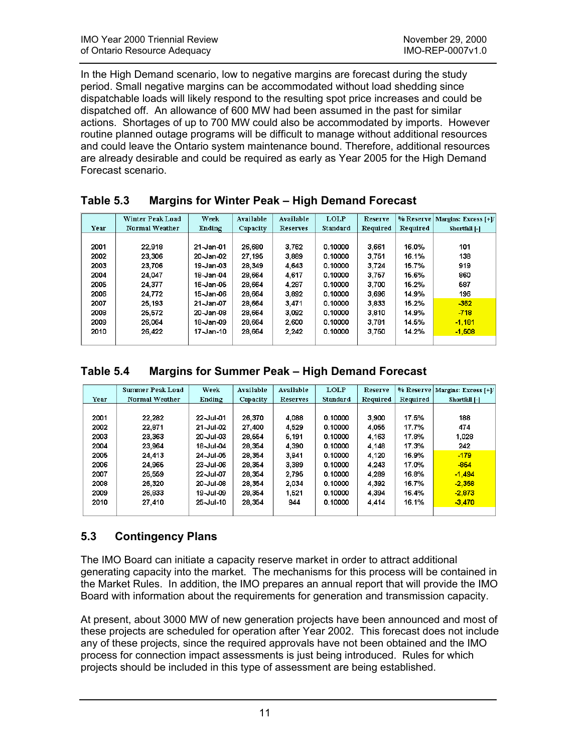<span id="page-11-0"></span>In the High Demand scenario, low to negative margins are forecast during the study period. Small negative margins can be accommodated without load shedding since dispatchable loads will likely respond to the resulting spot price increases and could be dispatched off. An allowance of 600 MW had been assumed in the past for similar actions. Shortages of up to 700 MW could also be accommodated by imports. However routine planned outage programs will be difficult to manage without additional resources and could leave the Ontario system maintenance bound. Therefore, additional resources are already desirable and could be required as early as Year 2005 for the High Demand Forecast scenario.

|      | Winter Peak Load      | Week         | Available | Available | <b>LOLP</b> | Reserve  |          | % Reserve   Margins: Excess [+]/ |
|------|-----------------------|--------------|-----------|-----------|-------------|----------|----------|----------------------------------|
| Year | <b>Normal Weather</b> | Ending       | Capacity  | Reserves  | Standard    | Required | Required | Shortfall [-]                    |
|      |                       |              |           |           |             |          |          |                                  |
| 2001 | 22.918                | $21$ -Jan-01 | 26,680    | 3.762     | 0.10000     | 3,661    | 16.0%    | 101                              |
| 2002 | 23,306                | 20-Jan-02    | 27,195    | 3,889     | 0.10000     | 3.751    | 16.1%    | 138                              |
| 2003 | 23.706                | 19-Jan-03    | 28,349    | 4.643     | 0.10000     | 3.724    | 15.7%    | 919                              |
| 2004 | 24.047                | 18-Jan-04    | 28.664    | 4,617     | 0.10000     | 3,757    | 15.6%    | 860                              |
| 2005 | 24.377                | 16-Jan-05    | 28,664    | 4.287     | 0.10000     | 3.700    | 15.2%    | 587                              |
| 2006 | 24,772                | 15-Jan-06    | 28.664    | 3.892     | 0.10000     | 3,696    | 14.9%    | 196                              |
| 2007 | 25,193                | 21-Jan-07    | 28,664    | 3.471     | 0.10000     | 3.833    | 15.2%    | $-362$                           |
| 2008 | 25.572                | 20-Jan-08    | 28,664    | 3.092     | 0.10000     | 3.810    | 14.9%    | $-718$                           |
| 2009 | 26,064                | 18-Jan-09    | 28,664    | 2,600     | 0.10000     | 3,781    | 14.5%    | $-1,181$                         |
| 2010 | 26,422                | 17-Jan-10    | 28,664    | 2.242     | 0.10000     | 3.750    | 14.2%    | $-1,508$                         |
|      |                       |              |           |           |             |          |          |                                  |

#### **Table 5.3 Margins for Winter Peak – High Demand Forecast**

#### **Table 5.4 Margins for Summer Peak – High Demand Forecast**

|      | Summer Peak Load | Week      | Available | Available       | <b>LOLP</b> | Reserve  |          | % Reserve   Margins: Excess $[+]$ |
|------|------------------|-----------|-----------|-----------------|-------------|----------|----------|-----------------------------------|
| Year | Normal Weather   | Ending    | Capacity  | <b>Reserves</b> | Standard    | Required | Required | Shortfall [-]                     |
|      |                  |           |           |                 |             |          |          |                                   |
| 2001 | 22.282           | 22-Jul-01 | 26.370    | 4.088           | 0.10000     | 3.900    | 17.5%    | 188                               |
| 2002 | 22,871           | 21-Jul-02 | 27,400    | 4,529           | 0.10000     | 4.055    | 17.7%    | 474                               |
| 2003 | 23,363           | 20-Jul-03 | 28,554    | 5.191           | 0.10000     | 4.163    | 17.8%    | 1.028                             |
| 2004 | 23.964           | 18-Jul-04 | 28.354    | 4.390           | 0.10000     | 4.148    | 17.3%    | 242                               |
| 2005 | 24,413           | 24-Jul-05 | 28,354    | 3,941           | 0.10000     | 4,120    | 16.9%    | $-179$                            |
| 2006 | 24,965           | 23-Jul-06 | 28,354    | 3,389           | 0.10000     | 4.243    | 17.0%    | $-854$                            |
| 2007 | 25,559           | 22-Jul-07 | 28.354    | 2.795           | 0.10000     | 4.289    | 16.8%    | $-1,494$                          |
| 2008 | 26.320           | 20-Jul-08 | 28.354    | 2,034           | 0.10000     | 4.392    | 16.7%    | $-2.358$                          |
| 2009 | 26,833           | 19-Jul-09 | 28,354    | 1,521           | 0.10000     | 4.394    | 16.4%    | $-2,873$                          |
| 2010 | 27,410           | 25-Jul-10 | 28,354    | 944             | 0.10000     | 4.414    | 16.1%    | $-3,470$                          |
|      |                  |           |           |                 |             |          |          |                                   |

#### **5.3 Contingency Plans**

The IMO Board can initiate a capacity reserve market in order to attract additional generating capacity into the market. The mechanisms for this process will be contained in the Market Rules. In addition, the IMO prepares an annual report that will provide the IMO Board with information about the requirements for generation and transmission capacity.

At present, about 3000 MW of new generation projects have been announced and most of these projects are scheduled for operation after Year 2002. This forecast does not include any of these projects, since the required approvals have not been obtained and the IMO process for connection impact assessments is just being introduced. Rules for which projects should be included in this type of assessment are being established.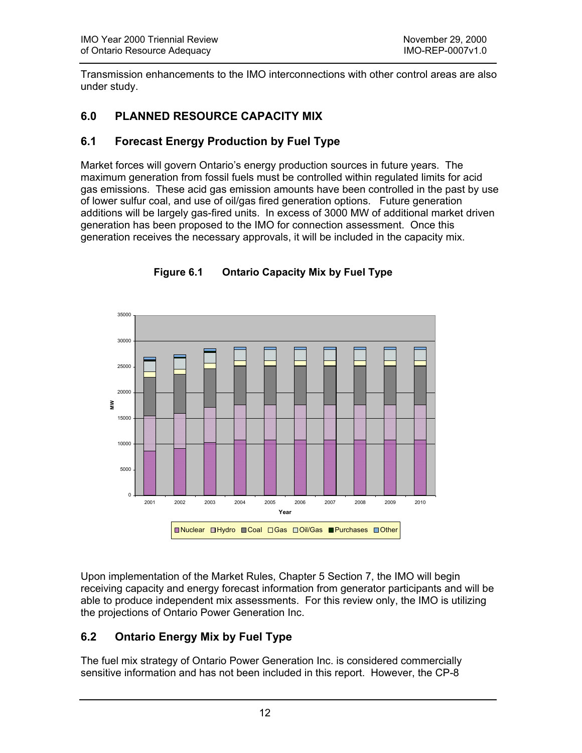<span id="page-12-0"></span>Transmission enhancements to the IMO interconnections with other control areas are also under study.

# **6.0 PLANNED RESOURCE CAPACITY MIX**

## **6.1 Forecast Energy Production by Fuel Type**

Market forces will govern Ontario's energy production sources in future years. The maximum generation from fossil fuels must be controlled within regulated limits for acid gas emissions. These acid gas emission amounts have been controlled in the past by use of lower sulfur coal, and use of oil/gas fired generation options. Future generation additions will be largely gas-fired units. In excess of 3000 MW of additional market driven generation has been proposed to the IMO for connection assessment. Once this generation receives the necessary approvals, it will be included in the capacity mix.



**Figure 6.1 Ontario Capacity Mix by Fuel Type** 

Upon implementation of the Market Rules, Chapter 5 Section 7, the IMO will begin receiving capacity and energy forecast information from generator participants and will be able to produce independent mix assessments. For this review only, the IMO is utilizing the projections of Ontario Power Generation Inc.

# **6.2 Ontario Energy Mix by Fuel Type**

The fuel mix strategy of Ontario Power Generation Inc. is considered commercially sensitive information and has not been included in this report. However, the CP-8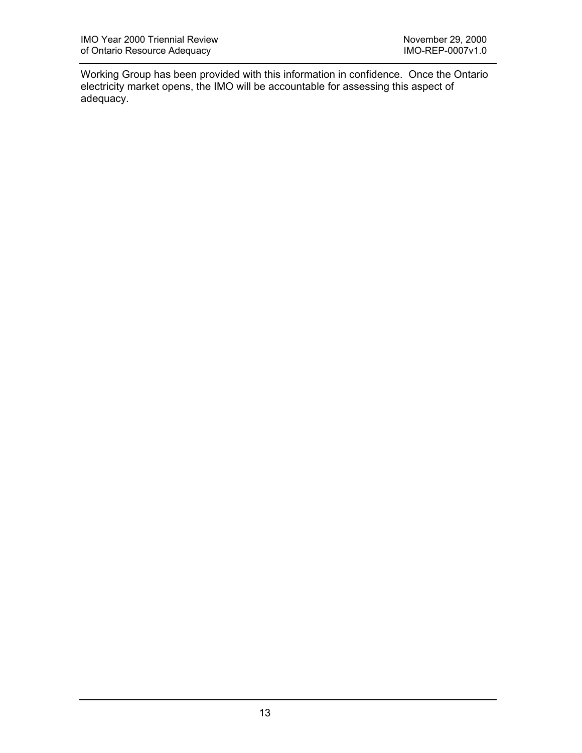Working Group has been provided with this information in confidence. Once the Ontario electricity market opens, the IMO will be accountable for assessing this aspect of adequacy.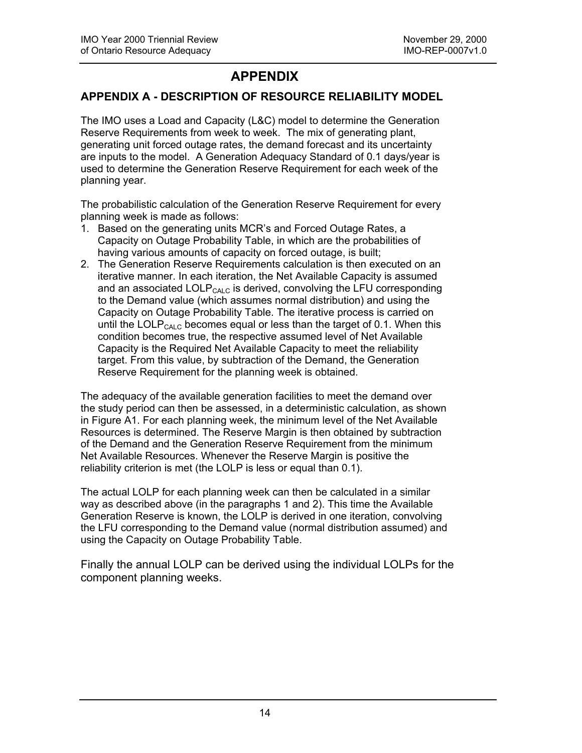# **APPENDIX**

#### <span id="page-14-0"></span>**APPENDIX A - DESCRIPTION OF RESOURCE RELIABILITY MODEL**

The IMO uses a Load and Capacity (L&C) model to determine the Generation Reserve Requirements from week to week. The mix of generating plant, generating unit forced outage rates, the demand forecast and its uncertainty are inputs to the model. A Generation Adequacy Standard of 0.1 days/year is used to determine the Generation Reserve Requirement for each week of the planning year.

The probabilistic calculation of the Generation Reserve Requirement for every planning week is made as follows:

- 1. Based on the generating units MCR's and Forced Outage Rates, a Capacity on Outage Probability Table, in which are the probabilities of having various amounts of capacity on forced outage, is built;
- 2. The Generation Reserve Requirements calculation is then executed on an iterative manner. In each iteration, the Net Available Capacity is assumed and an associated LOLP $_{CALC}$  is derived, convolving the LFU corresponding to the Demand value (which assumes normal distribution) and using the Capacity on Outage Probability Table. The iterative process is carried on until the LOLP<sub>CALC</sub> becomes equal or less than the target of 0.1. When this condition becomes true, the respective assumed level of Net Available Capacity is the Required Net Available Capacity to meet the reliability target. From this value, by subtraction of the Demand, the Generation Reserve Requirement for the planning week is obtained.

The adequacy of the available generation facilities to meet the demand over the study period can then be assessed, in a deterministic calculation, as shown in Figure A1. For each planning week, the minimum level of the Net Available Resources is determined. The Reserve Margin is then obtained by subtraction of the Demand and the Generation Reserve Requirement from the minimum Net Available Resources. Whenever the Reserve Margin is positive the reliability criterion is met (the LOLP is less or equal than 0.1).

The actual LOLP for each planning week can then be calculated in a similar way as described above (in the paragraphs 1 and 2). This time the Available Generation Reserve is known, the LOLP is derived in one iteration, convolving the LFU corresponding to the Demand value (normal distribution assumed) and using the Capacity on Outage Probability Table.

Finally the annual LOLP can be derived using the individual LOLPs for the component planning weeks.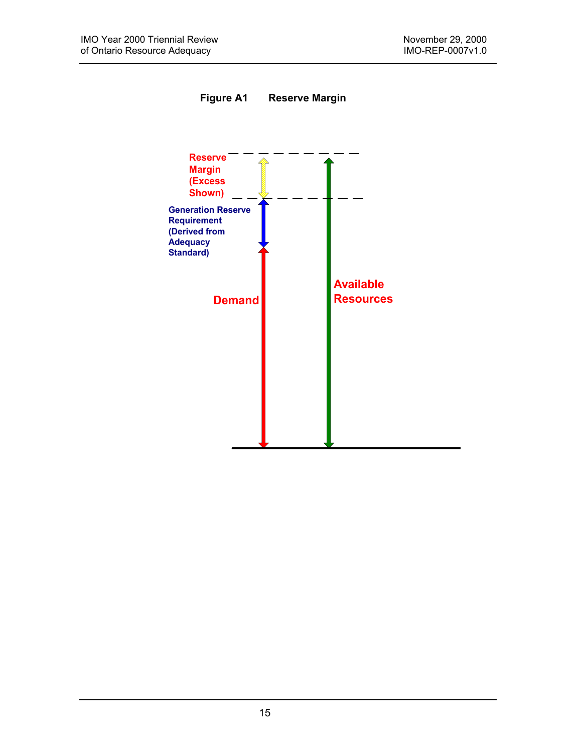<span id="page-15-0"></span>

**Figure A1 Reserve Margin**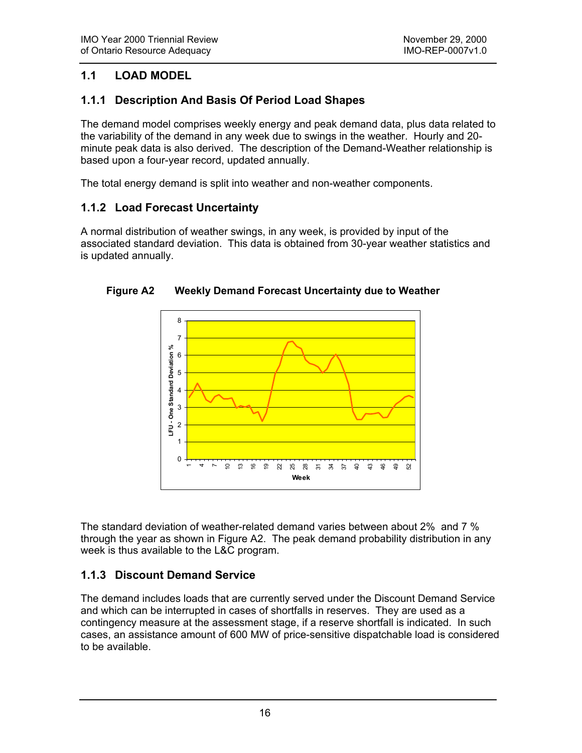# <span id="page-16-0"></span>**1.1 LOAD MODEL**

# **1.1.1 Description And Basis Of Period Load Shapes**

The demand model comprises weekly energy and peak demand data, plus data related to the variability of the demand in any week due to swings in the weather. Hourly and 20 minute peak data is also derived. The description of the Demand-Weather relationship is based upon a four-year record, updated annually.

The total energy demand is split into weather and non-weather components.

# **1.1.2 Load Forecast Uncertainty**

A normal distribution of weather swings, in any week, is provided by input of the associated standard deviation. This data is obtained from 30-year weather statistics and is updated annually.



**Figure A2 Weekly Demand Forecast Uncertainty due to Weather** 

The standard deviation of weather-related demand varies between about 2% and 7 % through the year as shown in Figure A2. The peak demand probability distribution in any week is thus available to the L&C program.

# **1.1.3 Discount Demand Service**

The demand includes loads that are currently served under the Discount Demand Service and which can be interrupted in cases of shortfalls in reserves. They are used as a contingency measure at the assessment stage, if a reserve shortfall is indicated. In such cases, an assistance amount of 600 MW of price-sensitive dispatchable load is considered to be available.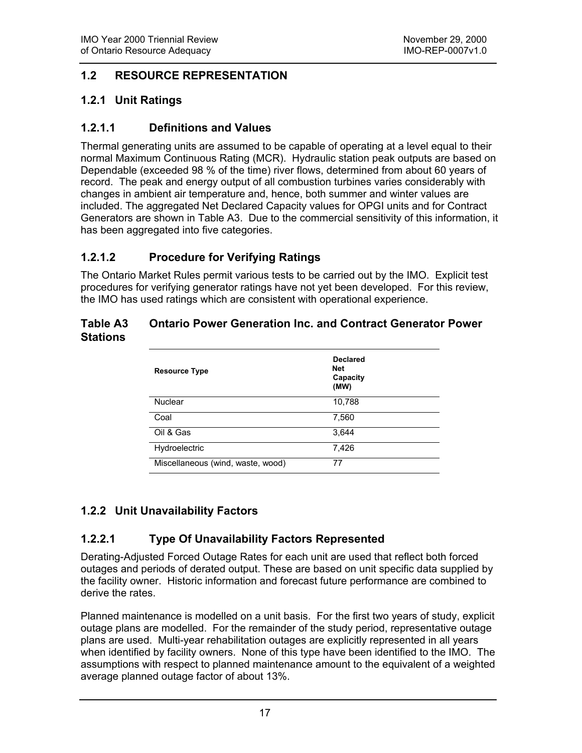#### <span id="page-17-0"></span>**1.2 RESOURCE REPRESENTATION**

# **1.2.1 Unit Ratings**

## **1.2.1.1 Definitions and Values**

Thermal generating units are assumed to be capable of operating at a level equal to their normal Maximum Continuous Rating (MCR). Hydraulic station peak outputs are based on Dependable (exceeded 98 % of the time) river flows, determined from about 60 years of record. The peak and energy output of all combustion turbines varies considerably with changes in ambient air temperature and, hence, both summer and winter values are included. The aggregated Net Declared Capacity values for OPGI units and for Contract Generators are shown in Table A3. Due to the commercial sensitivity of this information, it has been aggregated into five categories.

# **1.2.1.2 Procedure for Verifying Ratings**

The Ontario Market Rules permit various tests to be carried out by the IMO. Explicit test procedures for verifying generator ratings have not yet been developed. For this review, the IMO has used ratings which are consistent with operational experience.

#### **Table A3 Ontario Power Generation Inc. and Contract Generator Power Stations**

| <b>Resource Type</b>              | <b>Declared</b><br><b>Net</b><br>Capacity<br>(MW) |
|-----------------------------------|---------------------------------------------------|
| <b>Nuclear</b>                    | 10,788                                            |
| Coal                              | 7,560                                             |
| Oil & Gas                         | 3,644                                             |
| Hydroelectric                     | 7,426                                             |
| Miscellaneous (wind, waste, wood) | 77                                                |

# **1.2.2 Unit Unavailability Factors**

# **1.2.2.1 Type Of Unavailability Factors Represented**

Derating-Adjusted Forced Outage Rates for each unit are used that reflect both forced outages and periods of derated output. These are based on unit specific data supplied by the facility owner. Historic information and forecast future performance are combined to derive the rates.

Planned maintenance is modelled on a unit basis. For the first two years of study, explicit outage plans are modelled. For the remainder of the study period, representative outage plans are used. Multi-year rehabilitation outages are explicitly represented in all years when identified by facility owners. None of this type have been identified to the IMO. The assumptions with respect to planned maintenance amount to the equivalent of a weighted average planned outage factor of about 13%.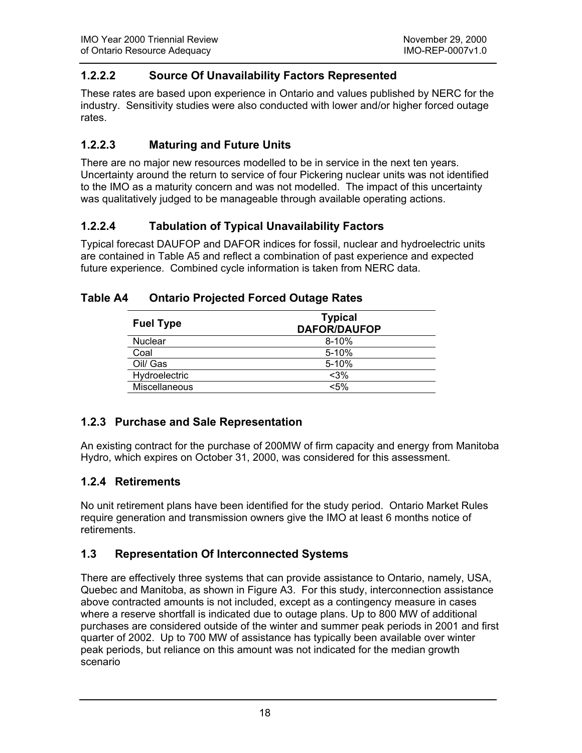#### <span id="page-18-0"></span>**1.2.2.2 Source Of Unavailability Factors Represented**

These rates are based upon experience in Ontario and values published by NERC for the industry. Sensitivity studies were also conducted with lower and/or higher forced outage rates.

#### **1.2.2.3 Maturing and Future Units**

There are no major new resources modelled to be in service in the next ten years. Uncertainty around the return to service of four Pickering nuclear units was not identified to the IMO as a maturity concern and was not modelled. The impact of this uncertainty was qualitatively judged to be manageable through available operating actions.

#### **1.2.2.4 Tabulation of Typical Unavailability Factors**

Typical forecast DAUFOP and DAFOR indices for fossil, nuclear and hydroelectric units are contained in Table A5 and reflect a combination of past experience and expected future experience. Combined cycle information is taken from NERC data.

#### **Table A4 Ontario Projected Forced Outage Rates**

| <b>Fuel Type</b> | <b>Typical</b><br><b>DAFOR/DAUFOP</b> |  |  |  |  |
|------------------|---------------------------------------|--|--|--|--|
| <b>Nuclear</b>   | $8 - 10%$                             |  |  |  |  |
| Coal             | $5 - 10%$                             |  |  |  |  |
| Oil/ Gas         | $5 - 10%$                             |  |  |  |  |
| Hydroelectric    | $< 3\%$                               |  |  |  |  |
| Miscellaneous    | $< 5\%$                               |  |  |  |  |

#### **1.2.3 Purchase and Sale Representation**

An existing contract for the purchase of 200MW of firm capacity and energy from Manitoba Hydro, which expires on October 31, 2000, was considered for this assessment.

#### **1.2.4 Retirements**

No unit retirement plans have been identified for the study period. Ontario Market Rules require generation and transmission owners give the IMO at least 6 months notice of retirements.

#### **1.3 Representation Of Interconnected Systems**

There are effectively three systems that can provide assistance to Ontario, namely, USA, Quebec and Manitoba, as shown in Figure A3. For this study, interconnection assistance above contracted amounts is not included, except as a contingency measure in cases where a reserve shortfall is indicated due to outage plans. Up to 800 MW of additional purchases are considered outside of the winter and summer peak periods in 2001 and first quarter of 2002. Up to 700 MW of assistance has typically been available over winter peak periods, but reliance on this amount was not indicated for the median growth scenario